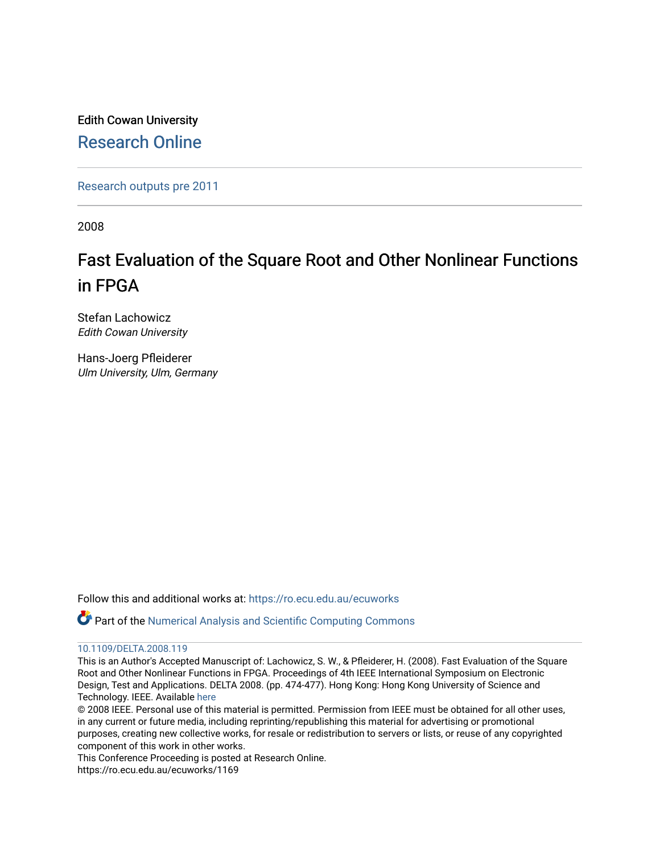Edith Cowan University [Research Online](https://ro.ecu.edu.au/) 

[Research outputs pre 2011](https://ro.ecu.edu.au/ecuworks)

2008

# Fast Evaluation of the Square Root and Other Nonlinear Functions in FPGA

Stefan Lachowicz Edith Cowan University

Hans-Joerg Pfleiderer Ulm University, Ulm, Germany

Follow this and additional works at: [https://ro.ecu.edu.au/ecuworks](https://ro.ecu.edu.au/ecuworks?utm_source=ro.ecu.edu.au%2Fecuworks%2F1169&utm_medium=PDF&utm_campaign=PDFCoverPages) 

Part of the [Numerical Analysis and Scientific Computing Commons](http://network.bepress.com/hgg/discipline/147?utm_source=ro.ecu.edu.au%2Fecuworks%2F1169&utm_medium=PDF&utm_campaign=PDFCoverPages)

#### [10.1109/DELTA.2008.119](http://dx.doi.org/10.1109/DELTA.2008.119)

This is an Author's Accepted Manuscript of: Lachowicz, S. W., & Pfleiderer, H. (2008). Fast Evaluation of the Square Root and Other Nonlinear Functions in FPGA. Proceedings of 4th IEEE International Symposium on Electronic Design, Test and Applications. DELTA 2008. (pp. 474-477). Hong Kong: Hong Kong University of Science and Technology. IEEE. Available [here](http://dx.doi.org/10.1109/DELTA.2008.119)

© 2008 IEEE. Personal use of this material is permitted. Permission from IEEE must be obtained for all other uses, in any current or future media, including reprinting/republishing this material for advertising or promotional purposes, creating new collective works, for resale or redistribution to servers or lists, or reuse of any copyrighted component of this work in other works.

This Conference Proceeding is posted at Research Online.

https://ro.ecu.edu.au/ecuworks/1169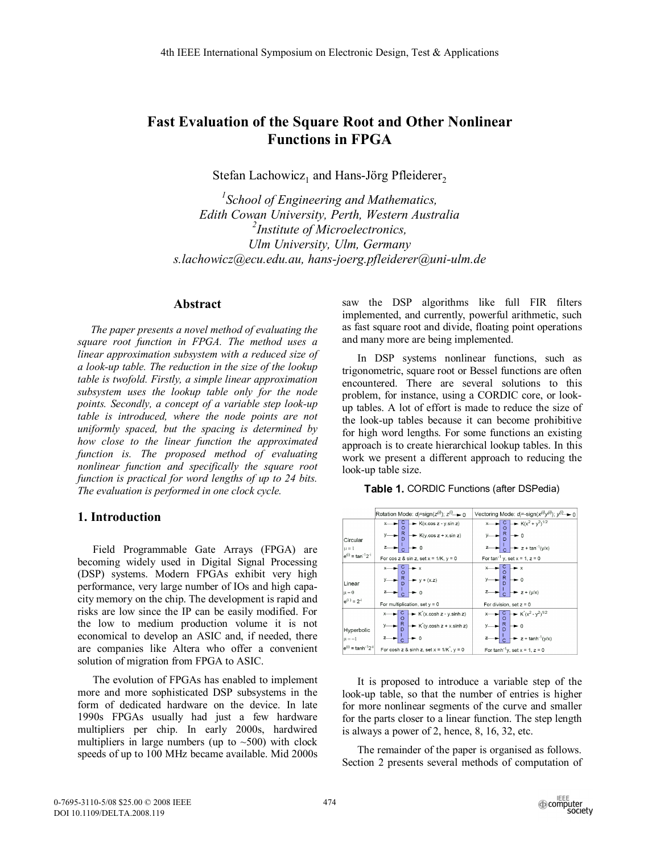## **Fast Evaluation of the Square Root and Other Nonlinear Functions in FPGA**

Stefan Lachowicz<sub>1</sub> and Hans-Jörg Pfleiderer<sub>2</sub>

*1 School of Engineering and Mathematics, Edith Cowan University, Perth, Western Australia 2 Institute of Microelectronics, Ulm University, Ulm, Germany s.lachowicz@ecu.edu.au, hans-joerg.pfleiderer@uni-ulm.de* 

#### **Abstract**

*The paper presents a novel method of evaluating the square root function in FPGA. The method uses a linear approximation subsystem with a reduced size of a look-up table. The reduction in the size of the lookup table is twofold. Firstly, a simple linear approximation subsystem uses the lookup table only for the node points. Secondly, a concept of a variable step look-up table is introduced, where the node points are not uniformly spaced, but the spacing is determined by how close to the linear function the approximated function is. The proposed method of evaluating nonlinear function and specifically the square root function is practical for word lengths of up to 24 bits. The evaluation is performed in one clock cycle.* 

#### **1. Introduction**

Field Programmable Gate Arrays (FPGA) are becoming widely used in Digital Signal Processing (DSP) systems. Modern FPGAs exhibit very high performance, very large number of IOs and high capacity memory on the chip. The development is rapid and risks are low since the IP can be easily modified. For the low to medium production volume it is not economical to develop an ASIC and, if needed, there are companies like Altera who offer a convenient solution of migration from FPGA to ASIC.

The evolution of FPGAs has enabled to implement more and more sophisticated DSP subsystems in the form of dedicated hardware on the device. In late 1990s FPGAs usually had just a few hardware multipliers per chip. In early 2000s, hardwired multipliers in large numbers (up to  $\sim$  500) with clock speeds of up to 100 MHz became available. Mid 2000s saw the DSP algorithms like full FIR filters implemented, and currently, powerful arithmetic, such as fast square root and divide, floating point operations and many more are being implemented.

In DSP systems nonlinear functions, such as trigonometric, square root or Bessel functions are often encountered. There are several solutions to this problem, for instance, using a CORDIC core, or lookup tables. A lot of effort is made to reduce the size of the look-up tables because it can become prohibitive for high word lengths. For some functions an existing approach is to create hierarchical lookup tables. In this work we present a different approach to reducing the look-up table size.





It is proposed to introduce a variable step of the look-up table, so that the number of entries is higher for more nonlinear segments of the curve and smaller for the parts closer to a linear function. The step length is always a power of 2, hence, 8, 16, 32, etc.

The remainder of the paper is organised as follows. Section 2 presents several methods of computation of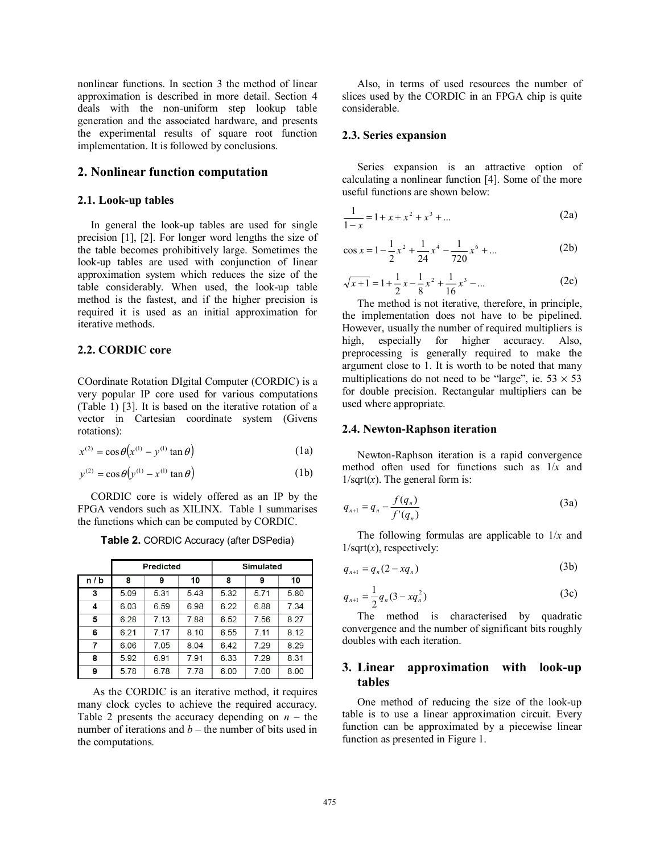nonlinear functions. In section 3 the method of linear approximation is described in more detail. Section 4 deals with the non-uniform step lookup table generation and the associated hardware, and presents the experimental results of square root function implementation. It is followed by conclusions.

#### **2. Nonlinear function computation**

#### **2.1. Look-up tables**

In general the look-up tables are used for single precision [1], [2]. For longer word lengths the size of the table becomes prohibitively large. Sometimes the look-up tables are used with conjunction of linear approximation system which reduces the size of the table considerably. When used, the look-up table method is the fastest, and if the higher precision is required it is used as an initial approximation for iterative methods.

#### **2.2. CORDIC core**

COordinate Rotation DIgital Computer (CORDIC) is a very popular IP core used for various computations (Table 1) [3]. It is based on the iterative rotation of a vector in Cartesian coordinate system (Givens rotations):

$$
x^{(2)} = \cos \theta \left( x^{(1)} - y^{(1)} \tan \theta \right) \tag{1a}
$$

$$
y^{(2)} = \cos \theta \left( y^{(1)} - x^{(1)} \tan \theta \right)
$$
 (1b)

CORDIC core is widely offered as an IP by the FPGA vendors such as XILINX. Table 1 summarises the functions which can be computed by CORDIC.

|       | Predicted |      |      | <b>Simulated</b> |      |      |
|-------|-----------|------|------|------------------|------|------|
| n / b | 8         | 9    | 10   | 8                | 9    | 10   |
| 3     | 5.09      | 5.31 | 5.43 | 5.32             | 5.71 | 5.80 |
| 4     | 6.03      | 6.59 | 6.98 | 6.22             | 6.88 | 7.34 |
| 5     | 6.28      | 7.13 | 7.88 | 6.52             | 7.56 | 8.27 |
| 6     | 6.21      | 7.17 | 8.10 | 6.55             | 7.11 | 8.12 |
| 7     | 6.06      | 7.05 | 8.04 | 6.42             | 7.29 | 8.29 |
| 8     | 5.92      | 6.91 | 7.91 | 6.33             | 7.29 | 8.31 |
| 9     | 5.78      | 6.78 | 7.78 | 6.00             | 7.00 | 8.00 |

**Table 2.** CORDIC Accuracy (after DSPedia)

 As the CORDIC is an iterative method, it requires many clock cycles to achieve the required accuracy. Table 2 presents the accuracy depending on  $n -$  the number of iterations and  $b$  – the number of bits used in the computations.

Also, in terms of used resources the number of slices used by the CORDIC in an FPGA chip is quite considerable.

#### **2.3. Series expansion**

Series expansion is an attractive option of calculating a nonlinear function [4]. Some of the more useful functions are shown below:

$$
\frac{1}{1-x} = 1 + x + x^2 + x^3 + \dots
$$
 (2a)

$$
\cos x = 1 - \frac{1}{2}x^2 + \frac{1}{24}x^4 - \frac{1}{720}x^6 + \dots
$$
 (2b)

$$
\sqrt{x+1} = 1 + \frac{1}{2}x - \frac{1}{8}x^2 + \frac{1}{16}x^3 - \dots
$$
 (2c)

The method is not iterative, therefore, in principle, the implementation does not have to be pipelined. However, usually the number of required multipliers is high, especially for higher accuracy. Also, preprocessing is generally required to make the argument close to 1. It is worth to be noted that many multiplications do not need to be "large", ie.  $53 \times 53$ for double precision. Rectangular multipliers can be used where appropriate.

#### **2.4. Newton-Raphson iteration**

Newton-Raphson iteration is a rapid convergence method often used for functions such as 1/*x* and  $1/\sqrt{\sqrt{x}}$ . The general form is:

$$
q_{n+1} = q_n - \frac{f(q_n)}{f'(q_n)}
$$
 (3a)

The following formulas are applicable to 1/*x* and  $1/\sqrt{\sqrt{x}}$ , respectively:

$$
q_{n+1} = q_n(2 - xq_n)
$$
 (3b)

$$
q_{n+1} = \frac{1}{2} q_n (3 - x q_n^2) \tag{3c}
$$

The method is characterised by quadratic convergence and the number of significant bits roughly doubles with each iteration.

## **3. Linear approximation with look-up tables**

One method of reducing the size of the look-up table is to use a linear approximation circuit. Every function can be approximated by a piecewise linear function as presented in Figure 1.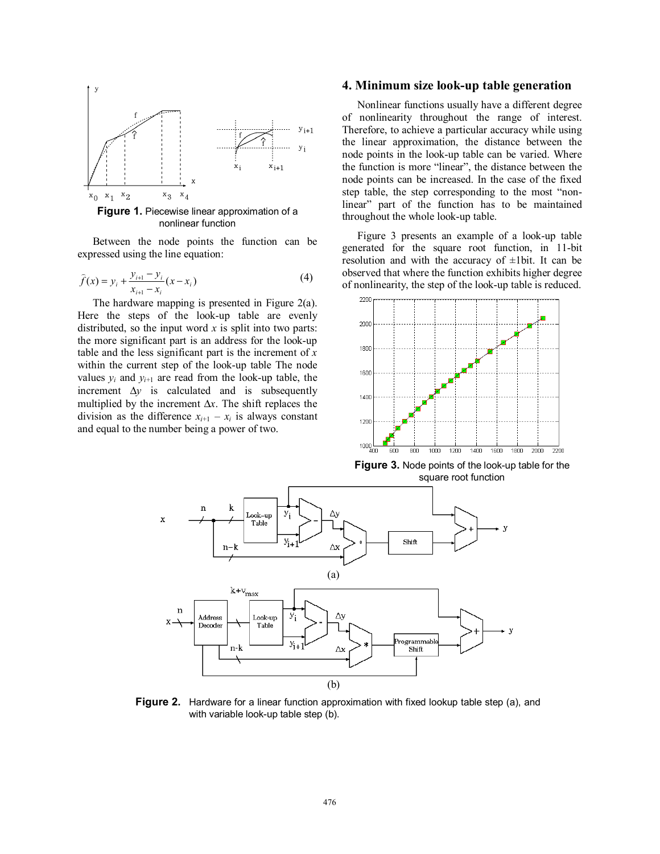

Between the node points the function can be expressed using the line equation:

$$
\hat{f}(x) = y_i + \frac{y_{i+1} - y_i}{x_{i+1} - x_i}(x - x_i)
$$
\n(4)

The hardware mapping is presented in Figure 2(a). Here the steps of the look-up table are evenly distributed, so the input word  $x$  is split into two parts: the more significant part is an address for the look-up table and the less significant part is the increment of *x* within the current step of the look-up table The node values  $y_i$  and  $y_{i+1}$  are read from the look-up table, the increment ∆*y* is calculated and is subsequently multiplied by the increment ∆*x*. The shift replaces the division as the difference  $x_{i+1} - x_i$  is always constant and equal to the number being a power of two.

#### **4. Minimum size look-up table generation**

Nonlinear functions usually have a different degree of nonlinearity throughout the range of interest. Therefore, to achieve a particular accuracy while using the linear approximation, the distance between the node points in the look-up table can be varied. Where the function is more "linear", the distance between the node points can be increased. In the case of the fixed step table, the step corresponding to the most "nonlinear" part of the function has to be maintained throughout the whole look-up table.

Figure 3 presents an example of a look-up table generated for the square root function, in 11-bit resolution and with the accuracy of  $\pm 1$ bit. It can be observed that where the function exhibits higher degree of nonlinearity, the step of the look-up table is reduced.



**Figure 3.** Node points of the look-up table for the square root function



**Figure 2.** Hardware for a linear function approximation with fixed lookup table step (a), and with variable look-up table step (b).